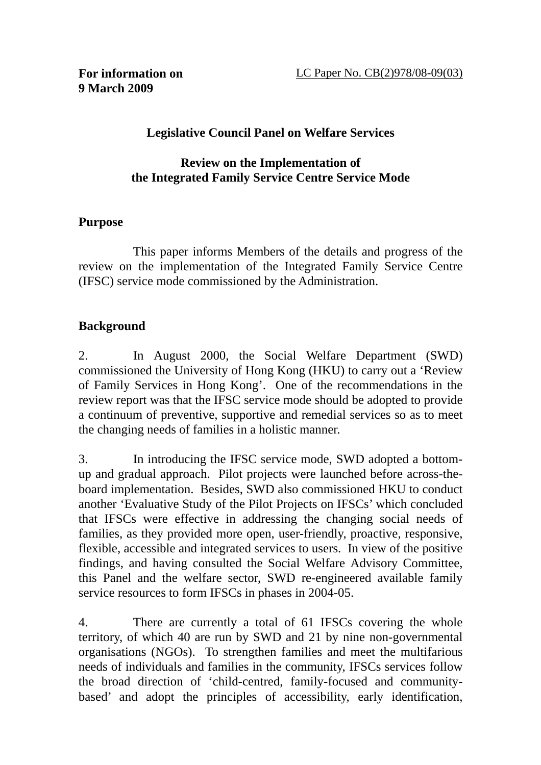#### **Legislative Council Panel on Welfare Services**

#### **Review on the Implementation of the Integrated Family Service Centre Service Mode**

#### **Purpose**

 This paper informs Members of the details and progress of the review on the implementation of the Integrated Family Service Centre (IFSC) service mode commissioned by the Administration.

#### **Background**

2. In August 2000, the Social Welfare Department (SWD) commissioned the University of Hong Kong (HKU) to carry out a 'Review of Family Services in Hong Kong'. One of the recommendations in the review report was that the IFSC service mode should be adopted to provide a continuum of preventive, supportive and remedial services so as to meet the changing needs of families in a holistic manner.

3. In introducing the IFSC service mode, SWD adopted a bottomup and gradual approach. Pilot projects were launched before across-theboard implementation. Besides, SWD also commissioned HKU to conduct another 'Evaluative Study of the Pilot Projects on IFSCs' which concluded that IFSCs were effective in addressing the changing social needs of families, as they provided more open, user-friendly, proactive, responsive, flexible, accessible and integrated services to users. In view of the positive findings, and having consulted the Social Welfare Advisory Committee, this Panel and the welfare sector, SWD re-engineered available family service resources to form IFSCs in phases in 2004-05.

4. There are currently a total of 61 IFSCs covering the whole territory, of which 40 are run by SWD and 21 by nine non-governmental organisations (NGOs). To strengthen families and meet the multifarious needs of individuals and families in the community, IFSCs services follow the broad direction of 'child-centred, family-focused and communitybased' and adopt the principles of accessibility, early identification,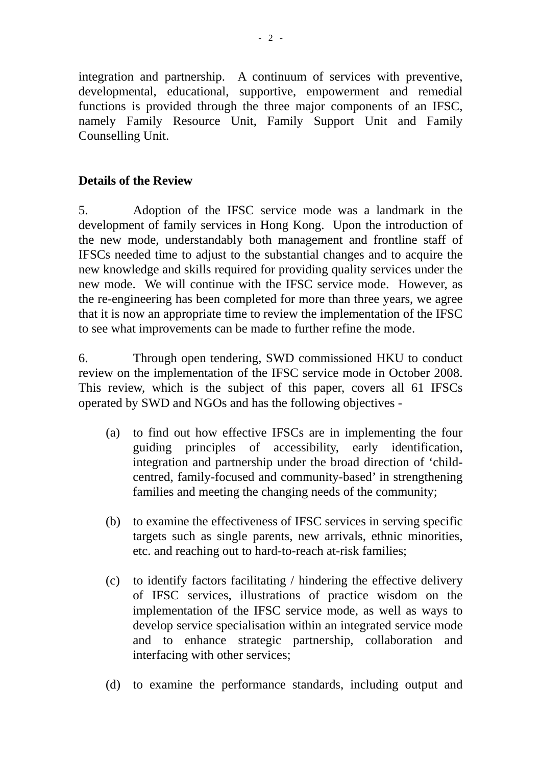integration and partnership. A continuum of services with preventive, developmental, educational, supportive, empowerment and remedial functions is provided through the three major components of an IFSC, namely Family Resource Unit, Family Support Unit and Family Counselling Unit.

### **Details of the Review**

5. Adoption of the IFSC service mode was a landmark in the development of family services in Hong Kong. Upon the introduction of the new mode, understandably both management and frontline staff of IFSCs needed time to adjust to the substantial changes and to acquire the new knowledge and skills required for providing quality services under the new mode. We will continue with the IFSC service mode. However, as the re-engineering has been completed for more than three years, we agree that it is now an appropriate time to review the implementation of the IFSC to see what improvements can be made to further refine the mode.

6. Through open tendering, SWD commissioned HKU to conduct review on the implementation of the IFSC service mode in October 2008. This review, which is the subject of this paper, covers all 61 IFSCs operated by SWD and NGOs and has the following objectives -

- (a) to find out how effective IFSCs are in implementing the four guiding principles of accessibility, early identification, integration and partnership under the broad direction of 'childcentred, family-focused and community-based' in strengthening families and meeting the changing needs of the community;
- (b) to examine the effectiveness of IFSC services in serving specific targets such as single parents, new arrivals, ethnic minorities, etc. and reaching out to hard-to-reach at-risk families;
- (c) to identify factors facilitating / hindering the effective delivery of IFSC services, illustrations of practice wisdom on the implementation of the IFSC service mode, as well as ways to develop service specialisation within an integrated service mode and to enhance strategic partnership, collaboration and interfacing with other services;
- (d) to examine the performance standards, including output and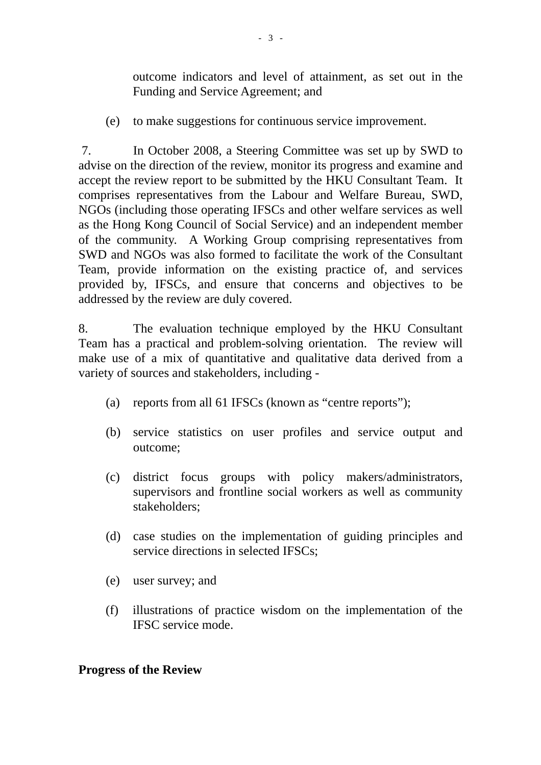outcome indicators and level of attainment, as set out in the Funding and Service Agreement; and

(e) to make suggestions for continuous service improvement.

 7. In October 2008, a Steering Committee was set up by SWD to advise on the direction of the review, monitor its progress and examine and accept the review report to be submitted by the HKU Consultant Team. It comprises representatives from the Labour and Welfare Bureau, SWD, NGOs (including those operating IFSCs and other welfare services as well as the Hong Kong Council of Social Service) and an independent member of the community. A Working Group comprising representatives from SWD and NGOs was also formed to facilitate the work of the Consultant Team, provide information on the existing practice of, and services provided by, IFSCs, and ensure that concerns and objectives to be addressed by the review are duly covered.

8. The evaluation technique employed by the HKU Consultant Team has a practical and problem-solving orientation. The review will make use of a mix of quantitative and qualitative data derived from a variety of sources and stakeholders, including -

- (a) reports from all 61 IFSCs (known as "centre reports");
- (b) service statistics on user profiles and service output and outcome;
- (c) district focus groups with policy makers/administrators, supervisors and frontline social workers as well as community stakeholders;
- (d) case studies on the implementation of guiding principles and service directions in selected IFSCs;
- (e) user survey; and
- (f) illustrations of practice wisdom on the implementation of the IFSC service mode.

## **Progress of the Review**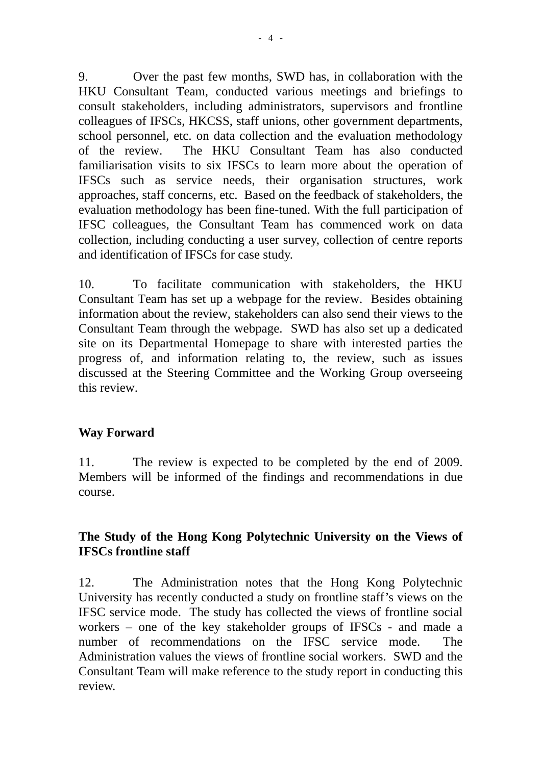9. Over the past few months, SWD has, in collaboration with the HKU Consultant Team, conducted various meetings and briefings to consult stakeholders, including administrators, supervisors and frontline colleagues of IFSCs, HKCSS, staff unions, other government departments, school personnel, etc. on data collection and the evaluation methodology of the review. The HKU Consultant Team has also conducted familiarisation visits to six IFSCs to learn more about the operation of IFSCs such as service needs, their organisation structures, work approaches, staff concerns, etc. Based on the feedback of stakeholders, the evaluation methodology has been fine-tuned. With the full participation of IFSC colleagues, the Consultant Team has commenced work on data collection, including conducting a user survey, collection of centre reports and identification of IFSCs for case study.

10. To facilitate communication with stakeholders, the HKU Consultant Team has set up a webpage for the review. Besides obtaining information about the review, stakeholders can also send their views to the Consultant Team through the webpage. SWD has also set up a dedicated site on its Departmental Homepage to share with interested parties the progress of, and information relating to, the review, such as issues discussed at the Steering Committee and the Working Group overseeing this review.

#### **Way Forward**

11. The review is expected to be completed by the end of 2009. Members will be informed of the findings and recommendations in due course.

## **The Study of the Hong Kong Polytechnic University on the Views of IFSCs frontline staff**

12. The Administration notes that the Hong Kong Polytechnic University has recently conducted a study on frontline staff's views on the IFSC service mode. The study has collected the views of frontline social workers – one of the key stakeholder groups of IFSCs - and made a number of recommendations on the IFSC service mode. The Administration values the views of frontline social workers. SWD and the Consultant Team will make reference to the study report in conducting this review.